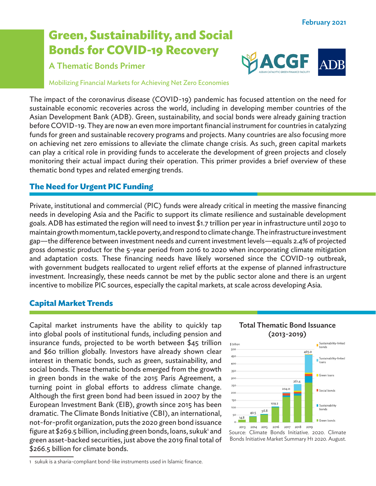# **Green, Sustainability, and Social Bonds for COVID-19 Recovery**

# A Thematic Bonds Primer



Mobilizing Financial Markets for Achieving Net Zero Economies

The impact of the coronavirus disease (COVID-19) pandemic has focused attention on the need for sustainable economic recoveries across the world, including in developing member countries of the Asian Development Bank (ADB). Green, sustainability, and social bonds were already gaining traction before COVID-19. They are now an even more important financial instrument for countries in catalyzing funds for green and sustainable recovery programs and projects. Many countries are also focusing more on achieving net zero emissions to alleviate the climate change crisis. As such, green capital markets can play a critical role in providing funds to accelerate the development of green projects and closely monitoring their actual impact during their operation. This primer provides a brief overview of these thematic bond types and related emerging trends.

# **The Need for Urgent PIC Funding**

Private, institutional and commercial (PIC) funds were already critical in meeting the massive financing needs in developing Asia and the Pacific to support its climate resilience and sustainable development goals. ADB has estimated the region will need to invest \$1.7 trillion per year in infrastructure until 2030 to maintain growth momentum, tackle poverty, and respond to climate change. The infrastructure investment gap—the difference between investment needs and current investment levels—equals 2.4% of projected gross domestic product for the 5-year period from 2016 to 2020 when incorporating climate mitigation and adaptation costs. These financing needs have likely worsened since the COVID-19 outbreak, with government budgets reallocated to urgent relief efforts at the expense of planned infrastructure investment. Increasingly, these needs cannot be met by the public sector alone and there is an urgent incentive to mobilize PIC sources, especially the capital markets, at scale across developing Asia.

# **Capital Market Trends**

Capital market instruments have the ability to quickly tap into global pools of institutional funds, including pension and insurance funds, projected to be worth between \$45 trillion and \$60 trillion globally. Investors have already shown clear interest in thematic bonds, such as green, sustainability, and social bonds. These thematic bonds emerged from the growth in green bonds in the wake of the 2015 Paris Agreement, a turning point in global efforts to address climate change. Although the first green bond had been issued in 2007 by the European Investment Bank (EIB), growth since 2015 has been dramatic. The Climate Bonds Initiative (CBI), an international, not-for-profit organization, puts the 2020 green bond issuance figure at \$269.5 billion, including green bonds, loans, sukuk' and green asset-backed securities, just above the 2019 final total of \$266.5 billion for climate bonds.



2013 Source: Climate Bonds Initiative. 2020. Climate Bonds Initiative Market Summary H1 2020. August.

<sup>1</sup> sukuk is a sharia-compliant bond-like instruments used in Islamic finance.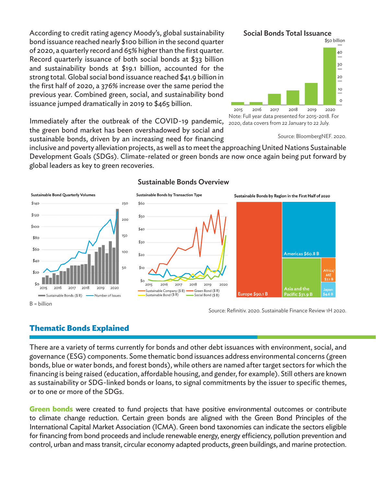According to credit rating agency Moody's, global sustainability bond issuance reached nearly \$100 billion in the second quarter of 2020, a quarterly record and 65% higher than the first quarter. Record quarterly issuance of both social bonds at \$33 billion and sustainability bonds at \$19.1 billion, accounted for the strong total. Global social bond issuance reached \$41.9 billion in the first half of 2020, a 376% increase over the same period the previous year. Combined green, social, and sustainability bond issuance jumped dramatically in 2019 to \$465 billion.

Social Bonds Total Issuance



Note: Full year data presented for 2015-2018. For 2020, data covers from 22 January to 22 July.

Immediately after the outbreak of the COVID-19 pandemic, the green bond market has been overshadowed by social and sustainable bonds, driven by an increasing need for financing

inclusive and poverty alleviation projects, as well as to meet the approaching United Nations Sustainable Development Goals (SDGs). Climate-related or green bonds are now once again being put forward by global leaders as key to green recoveries.

Sustainable Bonds Overview



Source: Refinitiv. 2020. Sustainable Finance Review 1H 2020.

# **Thematic Bonds Explained**

There are a variety of terms currently for bonds and other debt issuances with environment, social, and governance (ESG) components. Some thematic bond issuances address environmental concerns (green bonds, blue or water bonds, and forest bonds), while others are named after target sectors for which the financing is being raised (education, affordable housing, and gender, for example). Still others are known as sustainability or SDG-linked bonds or loans, to signal commitments by the issuer to specific themes, or to one or more of the SDGs.

**Green bonds** were created to fund projects that have positive environmental outcomes or contribute to climate change reduction. Certain green bonds are aligned with the Green Bond Principles of the International Capital Market Association (ICMA). Green bond taxonomies can indicate the sectors eligible for financing from bond proceeds and include renewable energy, energy efficiency, pollution prevention and control, urban and mass transit, circular economy adapted products, green buildings, and marine protection.

Source: BloombergNEF. 2020.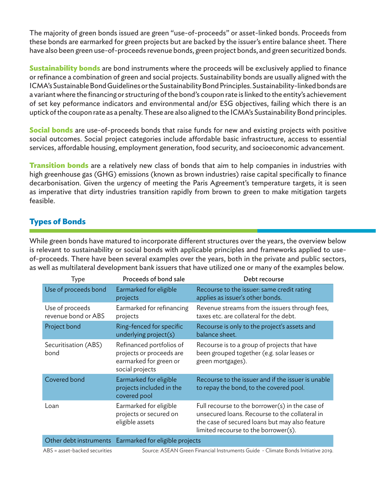The majority of green bonds issued are green "use-of-proceeds" or asset-linked bonds. Proceeds from these bonds are earmarked for green projects but are backed by the issuer's entire balance sheet. There have also been green use-of-proceeds revenue bonds, green project bonds, and green securitized bonds.

**Sustainability bonds** are bond instruments where the proceeds will be exclusively applied to finance or refinance a combination of green and social projects. Sustainability bonds are usually aligned with the ICMA's Sustainable Bond Guidelines or the Sustainability Bond Principles. Sustainability-linked bonds are a variant where the financing or structuring of the bond's coupon rate is linked to the entity's achievement of set key peformance indicators and environmental and/or ESG objectives, failing which there is an uptick of the coupon rate as a penalty. These are also aligned to the ICMA's Sustainability Bond principles.

**Social bonds** are use-of-proceeds bonds that raise funds for new and existing projects with positive social outcomes. Social project categories include affordable basic infrastructure, access to essential services, affordable housing, employment generation, food security, and socioeconomic advancement.

**Transition bonds** are a relatively new class of bonds that aim to help companies in industries with high greenhouse gas (GHG) emissions (known as brown industries) raise capital specifically to finance decarbonisation. Given the urgency of meeting the Paris Agreement's temperature targets, it is seen as imperative that dirty industries transition rapidly from brown to green to make mitigation targets feasible.

# **Types of Bonds**

While green bonds have matured to incorporate different structures over the years, the overview below is relevant to sustainability or social bonds with applicable principles and frameworks applied to useof-proceeds. There have been several examples over the years, both in the private and public sectors, as well as multilateral development bank issuers that have utilized one or many of the examples below.

| Type                                   | Proceeds of bond sale                                                                             | Debt recourse                                                                                                                                                                               |
|----------------------------------------|---------------------------------------------------------------------------------------------------|---------------------------------------------------------------------------------------------------------------------------------------------------------------------------------------------|
| Use of proceeds bond                   | Earmarked for eligible<br>projects                                                                | Recourse to the issuer: same credit rating<br>applies as issuer's other bonds.                                                                                                              |
| Use of proceeds<br>revenue bond or ABS | Earmarked for refinancing<br>projects                                                             | Revenue streams from the issuers through fees,<br>taxes etc. are collateral for the debt.                                                                                                   |
| Project bond                           | Ring-fenced for specific<br>underlying project(s)                                                 | Recourse is only to the project's assets and<br>balance sheet.                                                                                                                              |
| Securitisation (ABS)<br>bond           | Refinanced portfolios of<br>projects or proceeds are<br>earmarked for green or<br>social projects | Recourse is to a group of projects that have<br>been grouped together (e.g. solar leases or<br>green mortgages).                                                                            |
| Covered bond                           | Earmarked for eligible<br>projects included in the<br>covered pool                                | Recourse to the issuer and if the issuer is unable<br>to repay the bond, to the covered pool.                                                                                               |
| Loan                                   | Earmarked for eligible<br>projects or secured on<br>eligible assets                               | Full recourse to the borrower(s) in the case of<br>unsecured loans. Recourse to the collateral in<br>the case of secured loans but may also feature<br>limited recourse to the borrower(s). |
|                                        | Other debt instruments Earmarked for eligible projects                                            |                                                                                                                                                                                             |

ABS = asset-backed securities Source: ASEAN Green Financial Instruments Guide - Climate Bonds Initiative 2019.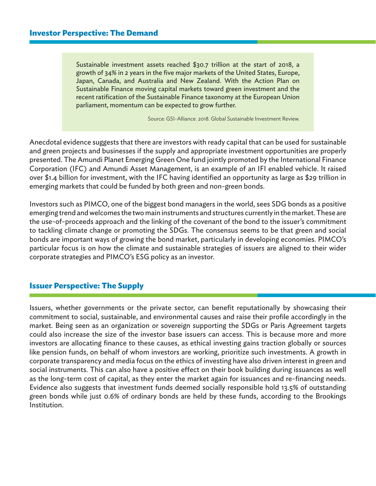Sustainable investment assets reached \$30.7 trillion at the start of 2018, a growth of 34% in 2 years in the five major markets of the United States, Europe, Japan, Canada, and Australia and New Zealand. With the Action Plan on Sustainable Finance moving capital markets toward green investment and the recent ratification of the Sustainable Finance taxonomy at the European Union parliament, momentum can be expected to grow further.

Source: GSI-Alliance. 2018. Global Sustainable Investment Review.

Anecdotal evidence suggests that there are investors with ready capital that can be used for sustainable and green projects and businesses if the supply and appropriate investment opportunities are properly presented. The Amundi Planet Emerging Green One fund jointly promoted by the International Finance Corporation (IFC) and Amundi Asset Management, is an example of an IFI enabled vehicle. It raised over \$1.4 billion for investment, with the IFC having identified an opportunity as large as \$29 trillion in emerging markets that could be funded by both green and non-green bonds.

Investors such as PIMCO, one of the biggest bond managers in the world, sees SDG bonds as a positive emerging trend and welcomes the two main instruments and structures currently in the market. These are the use-of-proceeds approach and the linking of the covenant of the bond to the issuer's commitment to tackling climate change or promoting the SDGs. The consensus seems to be that green and social bonds are important ways of growing the bond market, particularly in developing economies. PIMCO's particular focus is on how the climate and sustainable strategies of issuers are aligned to their wider corporate strategies and PIMCO's ESG policy as an investor.

# **Issuer Perspective: The Supply**

Issuers, whether governments or the private sector, can benefit reputationally by showcasing their commitment to social, sustainable, and environmental causes and raise their profile accordingly in the market. Being seen as an organization or sovereign supporting the SDGs or Paris Agreement targets could also increase the size of the investor base issuers can access. This is because more and more investors are allocating finance to these causes, as ethical investing gains traction globally or sources like pension funds, on behalf of whom investors are working, prioritize such investments. A growth in corporate transparency and media focus on the ethics of investing have also driven interest in green and social instruments. This can also have a positive effect on their book building during issuances as well as the long-term cost of capital, as they enter the market again for issuances and re-financing needs. Evidence also suggests that investment funds deemed socially responsible hold 13.5% of outstanding green bonds while just 0.6% of ordinary bonds are held by these funds, according to the Brookings Institution.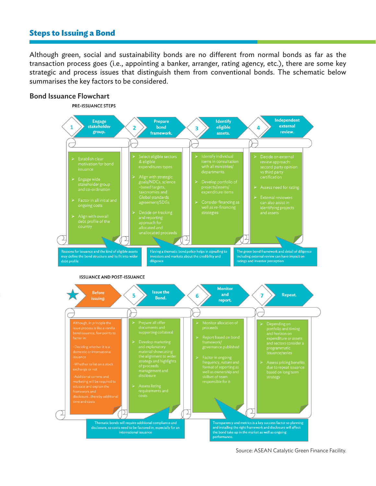### **Steps to Issuing a Bond**

Although green, social and sustainability bonds are no different from normal bonds as far as the transaction process goes (i.e., appointing a banker, arranger, rating agency, etc.), there are some key strategic and process issues that distinguish them from conventional bonds. The schematic below summarises the key factors to be considered.

### Bond Issuance Flowchart

#### **PRE-ISSUANCE STEPS**



#### **ISSUANCE AND POST-ISSUANCE**



Source: ASEAN Catalytic Green Finance Facility.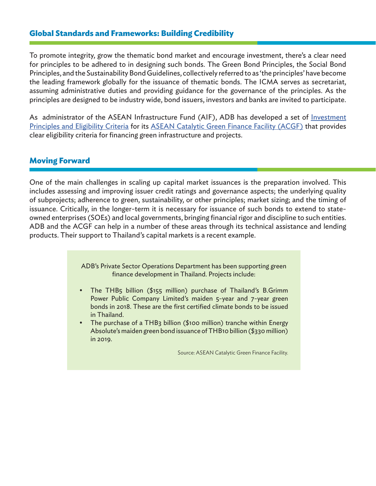### **Global Standards and Frameworks: Building Credibility**

To promote integrity, grow the thematic bond market and encourage investment, there's a clear need for principles to be adhered to in designing such bonds. The Green Bond Principles, the Social Bond Principles, and the Sustainability Bond Guidelines, collectively referred to as 'the principles' have become the leading framework globally for the issuance of thematic bonds. The ICMA serves as secretariat, assuming administrative duties and providing guidance for the governance of the principles. As the principles are designed to be industry wide, bond issuers, investors and banks are invited to participate.

As administrator of the ASEAN Infrastructure Fund (AIF), ADB has developed a set of Investment Principles and Eligibility Criteria for its ASEAN Catalytic Green Finance Facility (ACGF) that provides clear eligibility criteria for financing green infrastructure and projects.

### **Moving Forward**

One of the main challenges in scaling up capital market issuances is the preparation involved. This includes assessing and improving issuer credit ratings and governance aspects; the underlying quality of subprojects; adherence to green, sustainability, or other principles; market sizing; and the timing of issuance. Critically, in the longer-term it is necessary for issuance of such bonds to extend to stateowned enterprises (SOEs) and local governments, bringing financial rigor and discipline to such entities. ADB and the ACGF can help in a number of these areas through its technical assistance and lending products. Their support to Thailand's capital markets is a recent example.

> ADB's Private Sector Operations Department has been supporting green finance development in Thailand. Projects include:

- The THB5 billion (\$155 million) purchase of Thailand's B.Grimm Power Public Company Limited's maiden 5-year and 7-year green bonds in 2018. These are the first certified climate bonds to be issued in Thailand.
- The purchase of a THB3 billion (\$100 million) tranche within Energy Absolute's maiden green bond issuance of THB10 billion (\$330 million) in 2019.

Source: ASEAN Catalytic Green Finance Facility.